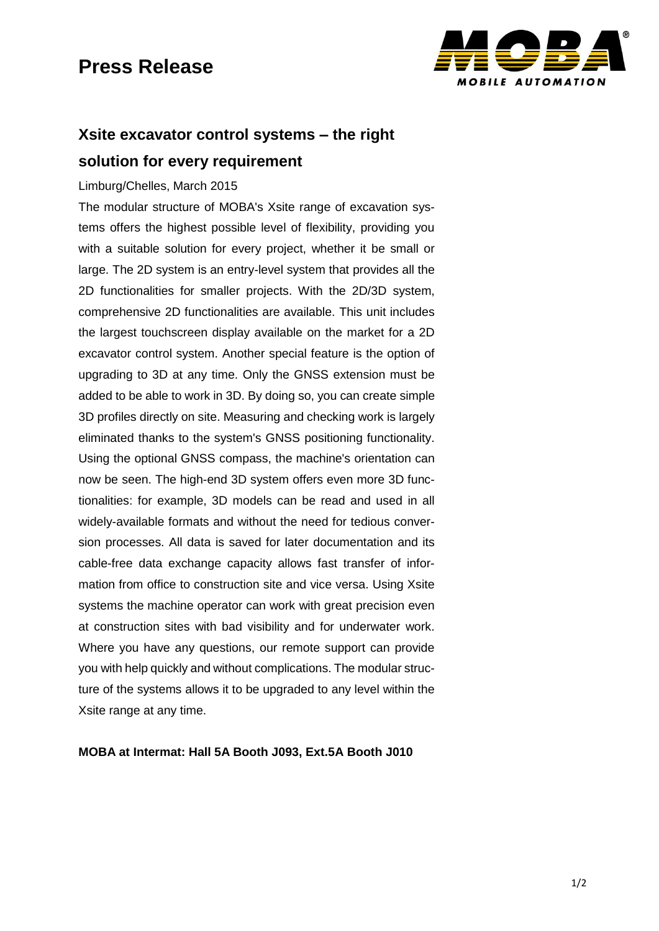## **Press Release**



## **Xsite excavator control systems – the right solution for every requirement**

#### Limburg/Chelles, March 2015

The modular structure of MOBA's Xsite range of excavation systems offers the highest possible level of flexibility, providing you with a suitable solution for every project, whether it be small or large. The 2D system is an entry-level system that provides all the 2D functionalities for smaller projects. With the 2D/3D system, comprehensive 2D functionalities are available. This unit includes the largest touchscreen display available on the market for a 2D excavator control system. Another special feature is the option of upgrading to 3D at any time. Only the GNSS extension must be added to be able to work in 3D. By doing so, you can create simple 3D profiles directly on site. Measuring and checking work is largely eliminated thanks to the system's GNSS positioning functionality. Using the optional GNSS compass, the machine's orientation can now be seen. The high-end 3D system offers even more 3D functionalities: for example, 3D models can be read and used in all widely-available formats and without the need for tedious conversion processes. All data is saved for later documentation and its cable-free data exchange capacity allows fast transfer of information from office to construction site and vice versa. Using Xsite systems the machine operator can work with great precision even at construction sites with bad visibility and for underwater work. Where you have any questions, our remote support can provide you with help quickly and without complications. The modular structure of the systems allows it to be upgraded to any level within the Xsite range at any time.

#### **MOBA at Intermat: Hall 5A Booth J093, Ext.5A Booth J010**